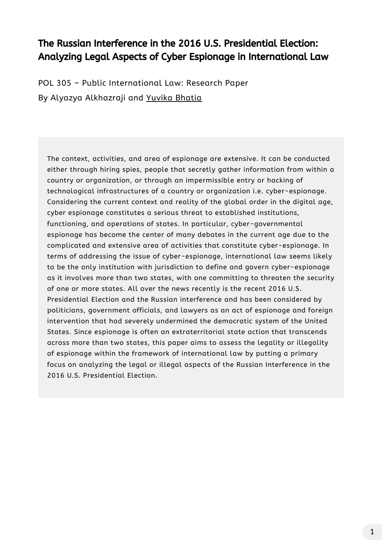The context, activities, and area of espionage are extensive. It can be conducted either through hiring spies, people that secretly gather information from within a country or organization, or through an impermissible entry or hacking of technological infrastructures of a country or organization i.e. cyber-espionage. Considering the current context and reality of the global order in the digital age, cyber espionage constitutes a serious threat to established institutions, functioning, and operations of states. In particular, cyber-governmental espionage has become the center of many debates in the current age due to the complicated and extensive area of activities that constitute cyber-espionage. In terms of addressing the issue of cyber-espionage, international law seems likely to be the only institution with jurisdiction to define and govern cyber-espionage as it involves more than two states, with one committing to threaten the security of one or more states. All over the news recently is the recent 2016 U.S. Presidential Election and the Russian interference and has been considered by politicians, government officials, and lawyers as an act of espionage and foreign intervention that had severely undermined the democratic system of the United States. Since espionage is often an extraterritorial state action that transcends across more than two states, this paper aims to assess the legality or illegality of espionage within the framework of international law by putting a primary focus on analyzing the legal or illegal aspects of the Russian Interference in the 2016 U.S. Presidential Election.

POL 305 – Public International Law: Research Paper By Alyazya Alkhazraji and [Yuvika](https://www.linkedin.com/in/yuvika-b-257370121/) Bhatia

# The Russian Interference in the 2016 U.S. Presidential Election: Analyzing Legal Aspects of Cyber Espionage in International Law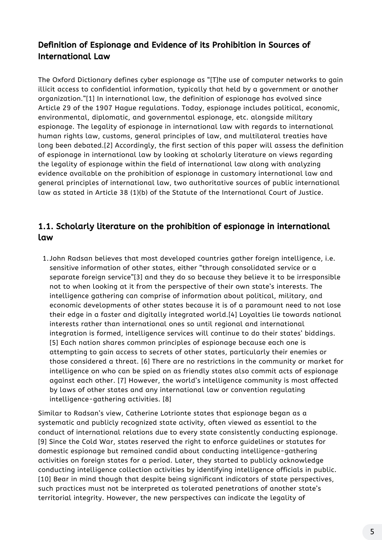The Oxford Dictionary defines cyber espionage as "[T]he use of computer networks to gain illicit access to confidential information, typically that held by a government or another organization."[1] In international law, the definition of espionage has evolved since Article 29 of the 1907 Hague regulations. Today, espionage includes political, economic, environmental, diplomatic, and governmental espionage, etc. alongside military espionage. The legality of espionage in international law with regards to international human rights law, customs, general principles of law, and multilateral treaties have long been debated.[2] Accordingly, the first section of this paper will assess the definition of espionage in international law by looking at scholarly literature on views regarding the legality of espionage within the field of international law along with analyzing evidence available on the prohibition of espionage in customary international law and general principles of international law, two authoritative sources of public international law as stated in Article 38 (1)(b) of the Statute of the International Court of Justice.

John Radsan believes that most developed countries gather foreign intelligence, i.e. 1. sensitive information of other states, either "through consolidated service or a separate foreign service"[3] and they do so because they believe it to be irresponsible not to when looking at it from the perspective of their own state's interests. The

intelligence gathering can comprise of information about political, military, and economic developments of other states because it is of a paramount need to not lose their edge in a faster and digitally integrated world.[4] Loyalties lie towards national interests rather than international ones so until regional and international integration is formed, intelligence services will continue to do their states' biddings. [5] Each nation shares common principles of espionage because each one is attempting to gain access to secrets of other states, particularly their enemies or those considered a threat. [6] There are no restrictions in the community or market for intelligence on who can be spied on as friendly states also commit acts of espionage against each other. [7] However, the world's intelligence community is most affected by laws of other states and any international law or convention regulating intelligence-gathering activities. [8]

Similar to Radsan's view, Catherine Lotrionte states that espionage began as a systematic and publicly recognized state activity, often viewed as essential to the conduct of international relations due to every state consistently conducting espionage. [9] Since the Cold War, states reserved the right to enforce guidelines or statutes for domestic espionage but remained candid about conducting intelligence-gathering activities on foreign states for a period. Later, they started to publicly acknowledge conducting intelligence collection activities by identifying intelligence officials in public. [10] Bear in mind though that despite being significant indicators of state perspectives, such practices must not be interpreted as tolerated penetrations of another state's territorial integrity. However, the new perspectives can indicate the legality of

## Definition of Espionage and Evidence of its Prohibition in Sources of International Law

#### 1.1. Scholarly literature on the prohibition of espionage in international law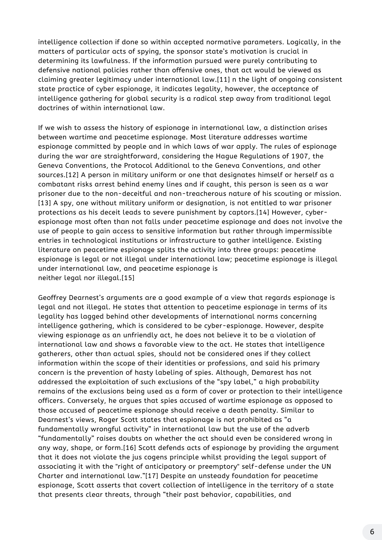intelligence collection if done so within accepted normative parameters. Logically, in the matters of particular acts of spying, the sponsor state's motivation is crucial in determining its lawfulness. If the information pursued were purely contributing to defensive national policies rather than offensive ones, that act would be viewed as claiming greater legitimacy under international law.[11] n the light of ongoing consistent state practice of cyber espionage, it indicates legality, however, the acceptance of intelligence gathering for global security is a radical step away from traditional legal doctrines of within international law.

Geoffrey Dearnest's arguments are a good example of a view that regards espionage is legal and not illegal. He states that attention to peacetime espionage in terms of its legality has lagged behind other developments of international norms concerning intelligence gathering, which is considered to be cyber-espionage. However, despite viewing espionage as an unfriendly act, he does not believe it to be a violation of international law and shows a favorable view to the act. He states that intelligence gatherers, other than actual spies, should not be considered ones if they collect information within the scope of their identities or professions, and said his primary concern is the prevention of hasty labeling of spies. Although, Demarest has not addressed the exploitation of such exclusions of the "spy label, " a high probability remains of the exclusions being used as a form of cover or protection to their intelligence officers. Conversely, he argues that spies accused of wartime espionage as opposed to those accused of peacetime espionage should receive a death penalty. Similar to Dearnest's views, Roger Scott states that espionage is not prohibited as "a fundamentally wrongful activity" in international law but the use of the adverb "fundamentally" raises doubts on whether the act should even be considered wrong in any way, shape, or form.[16] Scott defends acts of espionage by providing the argument that it does not violate the jus cogens principle whilst providing the legal support of associating it with the "right of anticipatory or preemptory" self-defense under the UN Charter and international law."[17] Despite an unsteady foundation for peacetime espionage, Scott asserts that covert collection of intelligence in the territory of a state that presents clear threats, through "their past behavior, capabilities, and

If we wish to assess the history of espionage in international law, a distinction arises between wartime and peacetime espionage. Most literature addresses wartime espionage committed by people and in which laws of war apply. The rules of espionage during the war are straightforward, considering the Hague Regulations of 1907, the Geneva Conventions, the Protocol Additional to the Geneva Conventions, and other sources.[12] A person in military uniform or one that designates himself or herself as a combatant risks arrest behind enemy lines and if caught, this person is seen as a war prisoner due to the non-deceitful and non-treacherous nature of his scouting or mission. [13] A spy, one without military uniform or designation, is not entitled to war prisoner protections as his deceit leads to severe punishment by captors.[14] However, cyberespionage most often than not falls under peacetime espionage and does not involve the use of people to gain access to sensitive information but rather through impermissible entries in technological institutions or infrastructure to gather intelligence. Existing literature on peacetime espionage splits the activity into three groups: peacetime espionage is legal or not illegal under international law; peacetime espionage is illegal under international law, and peacetime espionage is neither legal nor illegal.[15]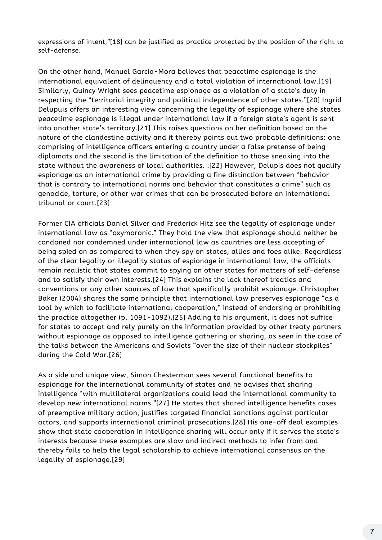expressions of intent, "[18] can be justified as practice protected by the position of the right to self-defense.

On the other hand, Manuel Garcia-Mora believes that peacetime espionage is the international equivalent of delinquency and a total violation of international law.[19] Similarly, Quincy Wright sees peacetime espionage as a violation of a state's duty in respecting the "territorial integrity and political independence of other states."[20] Ingrid Delupuis offers an interesting view concerning the legality of espionage where she states peacetime espionage is illegal under international law if a foreign state's agent is sent into another state's territory.[21] This raises questions on her definition based on the nature of the clandestine activity and it thereby points out two probable definitions: one comprising of intelligence officers entering a country under a false pretense of being diplomats and the second is the limitation of the definition to those sneaking into the state without the awareness of local authorities. .[22] However, Delupis does not qualify espionage as an international crime by providing a fine distinction between "behavior that is contrary to international norms and behavior that constitutes a crime" such as genocide, torture, or other war crimes that can be prosecuted before an international tribunal or court.[23]

Former CIA officials Daniel Silver and Frederick Hitz see the legality of espionage under international law as "oxymoronic." They hold the view that espionage should neither be condoned nor condemned under international law as countries are less accepting of being spied on as compared to when they spy on states, allies and foes alike. Regardless of the clear legality or illegality status of espionage in international law, the officials remain realistic that states commit to spying on other states for matters of self-defense and to satisfy their own interests.[24] This explains the lack thereof treaties and conventions or any other sources of law that specifically prohibit espionage. Christopher Baker (2004) shares the same principle that international law preserves espionage "as a tool by which to facilitate international cooperation, " instead of endorsing or prohibiting the practice altogether (p. 1091-1092).[25] Adding to his argument, it does not suffice for states to accept and rely purely on the information provided by other treaty partners without espionage as opposed to intelligence gathering or sharing, as seen in the case of the talks between the Americans and Soviets "over the size of their nuclear stockpiles" during the Cold War.[26]

As a side and unique view, Simon Chesterman sees several functional benefits to espionage for the international community of states and he advises that sharing intelligence "with multilateral organizations could lead the international community to develop new international norms."[27] He states that shared intelligence benefits cases of preemptive military action, justifies targeted financial sanctions against particular actors, and supports international criminal prosecutions.[28] His one-off deal examples show that state cooperation in intelligence sharing will occur only if it serves the state's interests because these examples are slow and indirect methods to infer from and thereby fails to help the legal scholarship to achieve international consensus on the legality of espionage.[29]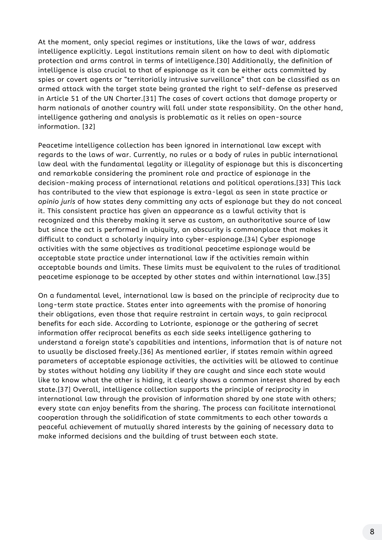At the moment, only special regimes or institutions, like the laws of war, address intelligence explicitly. Legal institutions remain silent on how to deal with diplomatic protection and arms control in terms of intelligence.[30] Additionally, the definition of intelligence is also crucial to that of espionage as it can be either acts committed by spies or covert agents or "territorially intrusive surveillance" that can be classified as an armed attack with the target state being granted the right to self-defense as preserved in Article 51 of the UN Charter.[31] The cases of covert actions that damage property or harm nationals of another country will fall under state responsibility. On the other hand, intelligence gathering and analysis is problematic as it relies on open-source information. [32]

Peacetime intelligence collection has been ignored in international law except with regards to the laws of war. Currently, no rules or a body of rules in public international law deal with the fundamental legality or illegality of espionage but this is disconcerting and remarkable considering the prominent role and practice of espionage in the decision-making process of international relations and political operations.[33] This lack has contributed to the view that espionage is extra-legal as seen in state practice or *opinio juris* of how states deny committing any acts of espionage but they do not conceal it. This consistent practice has given an appearance as a lawful activity that is recognized and this thereby making it serve as custom, an authoritative source of law but since the act is performed in ubiquity, an obscurity is commonplace that makes it difficult to conduct a scholarly inquiry into cyber-espionage.[34] Cyber espionage activities with the same objectives as traditional peacetime espionage would be acceptable state practice under international law if the activities remain within acceptable bounds and limits. These limits must be equivalent to the rules of traditional peacetime espionage to be accepted by other states and within international law.[35]

On a fundamental level, international law is based on the principle of reciprocity due to long-term state practice. States enter into agreements with the promise of honoring their obligations, even those that require restraint in certain ways, to gain reciprocal benefits for each side. According to Lotrionte, espionage or the gathering of secret information offer reciprocal benefits as each side seeks intelligence gathering to understand a foreign state's capabilities and intentions, information that is of nature not to usually be disclosed freely.[36] As mentioned earlier, if states remain within agreed parameters of acceptable espionage activities, the activities will be allowed to continue by states without holding any liability if they are caught and since each state would like to know what the other is hiding, it clearly shows a common interest shared by each state.[37] Overall, intelligence collection supports the principle of reciprocity in international law through the provision of information shared by one state with others; every state can enjoy benefits from the sharing. The process can facilitate international cooperation through the solidification of state commitments to each other towards a peaceful achievement of mutually shared interests by the gaining of necessary data to make informed decisions and the building of trust between each state.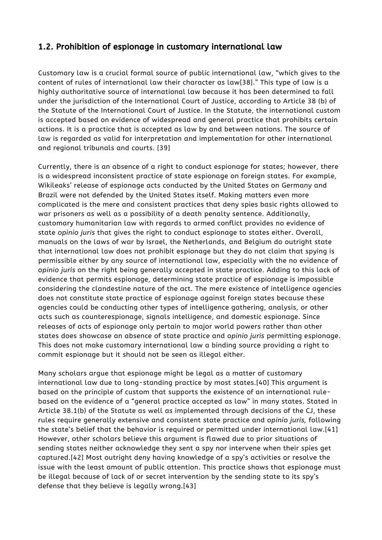Customary law is a crucial formal source of public international law, "which gives to the content of rules of international law their character as law[38]." This type of law is a highly authoritative source of international law because it has been determined to fall under the jurisdiction of the International Court of Justice, according to Article 38 (b) of the Statute of the International Court of Justice. In the Statute, the international custom is accepted based on evidence of widespread and general practice that prohibits certain actions. It is a practice that is accepted as law by and between nations. The source of law is regarded as valid for interpretation and implementation for other international and regional tribunals and courts. [39]

Currently, there is an absence of a right to conduct espionage for states; however, there is a widespread inconsistent practice of state espionage on foreign states. For example, Wikileaks' release of espionage acts conducted by the United States on Germany and Brazil were not defended by the United States itself. Making matters even more complicated is the mere and consistent practices that deny spies basic rights allowed to war prisoners as well as a possibility of a death penalty sentence. Additionally, customary humanitarian law with regards to armed conflict provides no evidence of state *opinio juris* that gives the right to conduct espionage to states either. Overall, manuals on the laws of war by Israel, the Netherlands, and Belgium do outright state that international law does not prohibit espionage but they do not claim that spying is permissible either by any source of international law, especially with the no evidence of *opinio juris* on the right being generally accepted in state practice. Adding to this lack of evidence that permits espionage, determining state practice of espionage is impossible considering the clandestine nature of the act. The mere existence of intelligence agencies does not constitute state practice of espionage against foreign states because these agencies could be conducting other types of intelligence gathering, analysis, or other acts such as counterespionage, signals intelligence, and domestic espionage. Since releases of acts of espionage only pertain to major world powers rather than other states does showcase an absence of state practice and o*pinio juris* permitting espionage. This does not make customary international law a binding source providing a right to commit espionage but it should not be seen as illegal either.

Many scholars argue that espionage might be legal as a matter of customary international law due to long-standing practice by most states.[40] This argument is based on the principle of custom that supports the existence of an international rulebased on the evidence of a "general practice accepted as law" in many states. Stated in Article 38.1(b) of the Statute as well as implemented through decisions of the CJ, these rules require generally extensive and consistent state practice and *opinio juris,* following the state's belief that the behavior is required or permitted under international law.[41] However, other scholars believe this argument is flawed due to prior situations of sending states neither acknowledge they sent a spy nor intervene when their spies get captured.[42] Most outright deny having knowledge of a spy's activities or resolve the issue with the least amount of public attention. This practice shows that espionage must be illegal because of lack of or secret intervention by the sending state to its spy's defense that they believe is legally wrong.[43]

#### 1.2. Prohibition of espionage in customary international law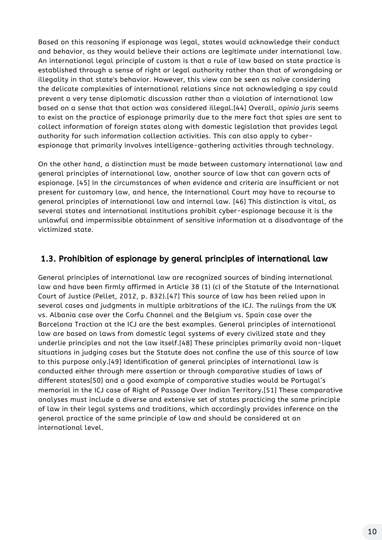Based on this reasoning if espionage was legal, states would acknowledge their conduct and behavior, as they would believe their actions are legitimate under international law. An international legal principle of custom is that a rule of law based on state practice is established through a sense of right or legal authority rather than that of wrongdoing or illegality in that state's behavior. However, this view can be seen as naïve considering the delicate complexities of international relations since not acknowledging a spy could prevent a very tense diplomatic discussion rather than a violation of international law based on a sense that that action was considered illegal.[44] Overall, *opinio juris* seems to exist on the practice of espionage primarily due to the mere fact that spies are sent to collect information of foreign states along with domestic legislation that provides legal authority for such information collection activities. This can also apply to cyberespionage that primarily involves intelligence-gathering activities through technology.

On the other hand, a distinction must be made between customary international law and general principles of international law, another source of law that can govern acts of espionage. [45] In the circumstances of when evidence and criteria are insufficient or not present for customary law, and hence, the International Court may have to recourse to general principles of international law and internal law. [46] This distinction is vital, as several states and international institutions prohibit cyber-espionage because it is the unlawful and impermissible obtainment of sensitive information at a disadvantage of the victimized state.

General principles of international law are recognized sources of binding international law and have been firmly affirmed in Article 38 (1) (c) of the Statute of the International Court of Justice (Pellet, 2012, p. 832).[47] This source of law has been relied upon in several cases and judgments in multiple arbitrations of the ICJ. The rulings from the UK vs. Albania case over the Corfu Channel and the Belgium vs. Spain case over the Barcelona Traction at the ICJ are the best examples. General principles of international law are based on laws from domestic legal systems of every civilized state and they underlie principles and not the law itself.[48] These principles primarily avoid non-liquet situations in judging cases but the Statute does not confine the use of this source of law to this purpose only.[49] Identification of general principles of international law is conducted either through mere assertion or through comparative studies of laws of different states[50] and a good example of comparative studies would be Portugal's memorial in the ICJ case of Right of Passage Over Indian Territory.[51] These comparative analyses must include a diverse and extensive set of states practicing the same principle of law in their legal systems and traditions, which accordingly provides inference on the general practice of the same principle of law and should be considered at an international level.

# 1.3. Prohibition of espionage by general principles of international law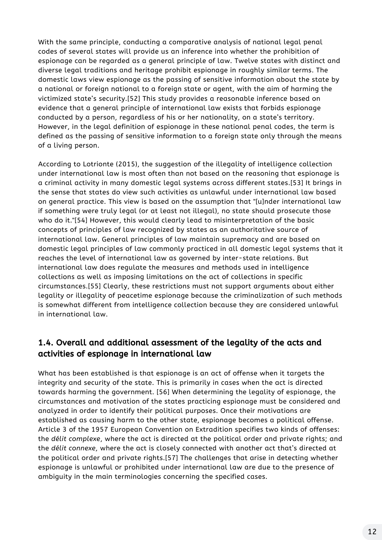With the same principle, conducting a comparative analysis of national legal penal codes of several states will provide us an inference into whether the prohibition of espionage can be regarded as a general principle of law. Twelve states with distinct and diverse legal traditions and heritage prohibit espionage in roughly similar terms. The domestic laws view espionage as the passing of sensitive information about the state by a national or foreign national to a foreign state or agent, with the aim of harming the victimized state's security.[52] This study provides a reasonable inference based on evidence that a general principle of international law exists that forbids espionage conducted by a person, regardless of his or her nationality, on a state's territory. However, in the legal definition of espionage in these national penal codes, the term is defined as the passing of sensitive information to a foreign state only through the means of a living person.

According to Lotrionte (2015), the suggestion of the illegality of intelligence collection under international law is most often than not based on the reasoning that espionage is a criminal activity in many domestic legal systems across different states.[53] It brings in the sense that states do view such activities as unlawful under international law based on general practice. This view is based on the assumption that "[u]nder international law if something were truly legal (or at least not illegal), no state should prosecute those who do it."[54] However, this would clearly lead to misinterpretation of the basic concepts of principles of law recognized by states as an authoritative source of international law. General principles of law maintain supremacy and are based on domestic legal principles of law commonly practiced in all domestic legal systems that it reaches the level of international law as governed by inter-state relations. But international law does regulate the measures and methods used in intelligence collections as well as imposing limitations on the act of collections in specific circumstances.[55] Clearly, these restrictions must not support arguments about either legality or illegality of peacetime espionage because the criminalization of such methods is somewhat different from intelligence collection because they are considered unlawful in international law.

What has been established is that espionage is an act of offense when it targets the integrity and security of the state. This is primarily in cases when the act is directed towards harming the government. [56] When determining the legality of espionage, the circumstances and motivation of the states practicing espionage must be considered and analyzed in order to identify their political purposes. Once their motivations are established as causing harm to the other state, espionage becomes a political offense. Article 3 of the 1957 European Convention on Extradition specifies two kinds of offenses: the *délit complexe*, where the act is directed at the political order and private rights; and the *délit connexe*, where the act is closely connected with another act that's directed at the political order and private rights.[57] The challenges that arise in detecting whether espionage is unlawful or prohibited under international law are due to the presence of ambiguity in the main terminologies concerning the specified cases.

## 1.4. Overall and additional assessment of the legality of the acts and activities of espionage in international law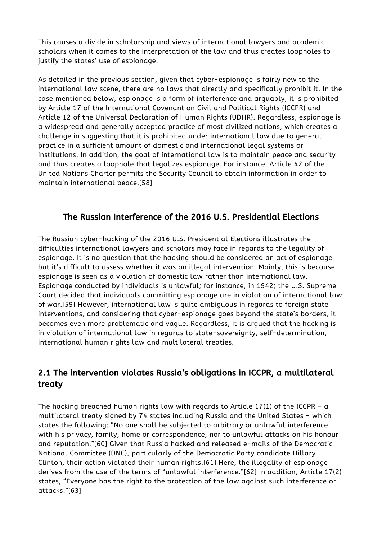This causes a divide in scholarship and views of international lawyers and academic scholars when it comes to the interpretation of the law and thus creates loopholes to justify the states' use of espionage.

As detailed in the previous section, given that cyber-espionage is fairly new to the international law scene, there are no laws that directly and specifically prohibit it. In the case mentioned below, espionage is a form of interference and arguably, it is prohibited by Article 17 of the International Covenant on Civil and Political Rights (ICCPR) and Article 12 of the Universal Declaration of Human Rights (UDHR). Regardless, espionage is a widespread and generally accepted practice of most civilized nations, which creates a challenge in suggesting that it is prohibited under international law due to general practice in a sufficient amount of domestic and international legal systems or institutions. In addition, the goal of international law is to maintain peace and security and thus creates a loophole that legalizes espionage. For instance, Article 42 of the United Nations Charter permits the Security Council to obtain information in order to maintain international peace.[58]

The hacking breached human rights law with regards to Article 17(1) of the ICCPR -  $a$ multilateral treaty signed by 74 states including Russia and the United States – which states the following: "No one shall be subjected to arbitrary or unlawful interference with his privacy, family, home or correspondence, nor to unlawful attacks on his honour and reputation."[60] Given that Russia hacked and released e-mails of the Democratic National Committee (DNC), particularly of the Democratic Party candidate Hillary Clinton, their action violated their human rights.[61] Here, the illegality of espionage derives from the use of the terms of " unlawful interference."[62] In addition, Article 17(2) states, "Everyone has the right to the protection of the law against such interference or attacks."[63]

The Russian cyber-hacking of the 2016 U.S. Presidential Elections illustrates the difficulties international lawyers and scholars may face in regards to the legality of espionage. It is no question that the hacking should be considered an act of espionage but it's difficult to assess whether it was an illegal intervention. Mainly, this is because espionage is seen as a violation of domestic law rather than international law. Espionage conducted by individuals is unlawful; for instance, in 1942; the U.S. Supreme Court decided that individuals committing espionage are in violation of international law of war.[59] However, international law is quite ambiguous in regards to foreign state interventions, and considering that cyber-espionage goes beyond the state's borders, it becomes even more problematic and vague. Regardless, it is argued that the hacking is in violation of international law in regards to state-sovereignty, self-determination, international human rights law and multilateral treaties.

#### The Russian Interference of the 2016 U.S. Presidential Elections

# 2.1 The intervention violates Russia's obligations in ICCPR, a multilateral treaty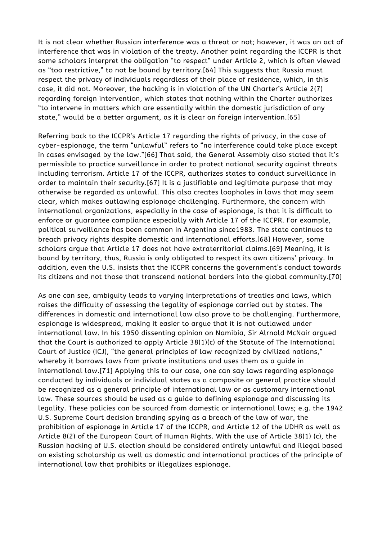It is not clear whether Russian interference was a threat or not; however, it was an act of interference that was in violation of the treaty. Another point regarding the ICCPR is that some scholars interpret the obligation "to respect" under Article 2, which is often viewed as "too restrictive," to not be bound by territory.[64] This suggests that Russia must respect the privacy of individuals regardless of their place of residence, which, in this case, it did not. Moreover, the hacking is in violation of the UN Charter's Article 2(7) regarding foreign intervention, which states that nothing within the Charter authorizes

"to intervene in matters which are essentially within the domestic jurisdiction of any state, " would be a better argument, as it is clear on foreign intervention.[65]

Referring back to the ICCPR's Article 17 regarding the rights of privacy, in the case of cyber-espionage, the term " unlawful" refers to "no interference could take place except in cases envisaged by the law."[66] That said, the General Assembly also stated that it's permissible to practice surveillance in order to protect national security against threats including terrorism. Article 17 of the ICCPR, authorizes states to conduct surveillance in order to maintain their security.[67] It is a justifiable and legitimate purpose that may otherwise be regarded as unlawful. This also creates loopholes in laws that may seem clear, which makes outlawing espionage challenging. Furthermore, the concern with international organizations, especially in the case of espionage, is that it is difficult to enforce or guarantee compliance especially with Article 17 of the ICCPR. For example, political surveillance has been common in Argentina since1983. The state continues to breach privacy rights despite domestic and international efforts.[68] However, some scholars argue that Article 17 does not have extraterritorial claims.[69] Meaning, it is bound by territory, thus, Russia is only obligated to respect its own citizens' privacy. In addition, even the U.S. insists that the ICCPR concerns the government's conduct towards its citizens and not those that transcend national borders into the global community.[70]

As one can see, ambiguity leads to varying interpretations of treaties and laws, which raises the difficulty of assessing the legality of espionage carried out by states. The differences in domestic and international law also prove to be challenging. Furthermore, espionage is widespread, making it easier to argue that it is not outlawed under international law. In his 1950 dissenting opinion on Namibia, Sir Alrnold McNair argued that the Court is authorized to apply Article 38(1)(c) of the Statute of The International Court of Justice (ICJ), "the general principles of law recognized by civilized nations, " whereby it borrows laws from private institutions and uses them as a guide in international law.[71] Applying this to our case, one can say laws regarding espionage conducted by individuals or individual states as a composite or general practice should be recognized as a general principle of international law or as customary international law. These sources should be used as a guide to defining espionage and discussing its legality. These policies can be sourced from domestic or international laws; e.g. the 1942 U.S. Supreme Court decision branding spying as a breach of the law of war, the prohibition of espionage in Article 17 of the ICCPR, and Article 12 of the UDHR as well as Article 8(2) of the European Court of Human Rights. With the use of Article 38(1) (c), the Russian hacking of U.S. election should be considered entirely unlawful and illegal based on existing scholarship as well as domestic and international practices of the principle of international law that prohibits or illegalizes espionage.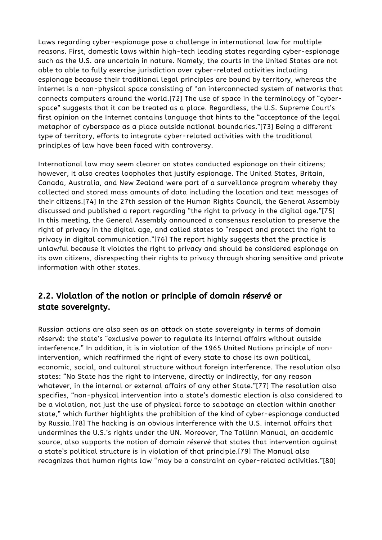Laws regarding cyber-espionage pose a challenge in international law for multiple reasons. First, domestic laws within high-tech leading states regarding cyber-espionage such as the U.S. are uncertain in nature. Namely, the courts in the United States are not able to able to fully exercise jurisdiction over cyber-related activities including espionage because their traditional legal principles are bound by territory, whereas the internet is a non-physical space consisting of "an interconnected system of networks that connects computers around the world.[72] The use of space in the terminology of "cyberspace" suggests that it can be treated as a place. Regardless, the U.S. Supreme Court's first opinion on the Internet contains language that hints to the "acceptance of the legal metaphor of cyberspace as a place outside national boundaries."[73] Being a different type of territory, efforts to integrate cyber-related activities with the traditional principles of law have been faced with controversy.

International law may seem clearer on states conducted espionage on their citizens; however, it also creates loopholes that justify espionage. The United States, Britain, Canada, Australia, and New Zealand were part of a surveillance program whereby they collected and stored mass amounts of data including the location and text messages of their citizens.[74] In the 27th session of the Human Rights Council, the General Assembly discussed and published a report regarding "the right to privacy in the digital age."[75] In this meeting, the General Assembly announced a consensus resolution to preserve the right of privacy in the digital age, and called states to "respect and protect the right to privacy in digital communication."[76] The report highly suggests that the practice is unlawful because it violates the right to privacy and should be considered espionage on its own citizens, disrespecting their rights to privacy through sharing sensitive and private information with other states.

Russian actions are also seen as an attack on state sovereignty in terms of domain réservé: the state's "exclusive power to regulate its internal affairs without outside interference." In addition, it is in violation of the 1965 United Nations principle of nonintervention, which reaffirmed the right of every state to chose its own political, economic, social, and cultural structure without foreign interference. The resolution also states: "No State has the right to intervene, directly or indirectly, for any reason whatever, in the internal or external affairs of any other State."[77] The resolution also specifies, "non-physical intervention into a state's domestic election is also considered to be a violation, not just the use of physical force to sabotage an election within another state, " which further highlights the prohibition of the kind of cyber-espionage conducted by Russia.[78] The hacking is an obvious interference with the U.S. internal affairs that undermines the U.S.'s rights under the UN. Moreover, The Tallinn Manual, an academic source, also supports the notion of domain *réservé* that states that intervention against a state's political structure is in violation of that principle.[79] The Manual also recognizes that human rights law "may be a constraint on cyber-related activities."[80]

## 2.2. Violation of the notion or principle of domain réservé or state sovereignty.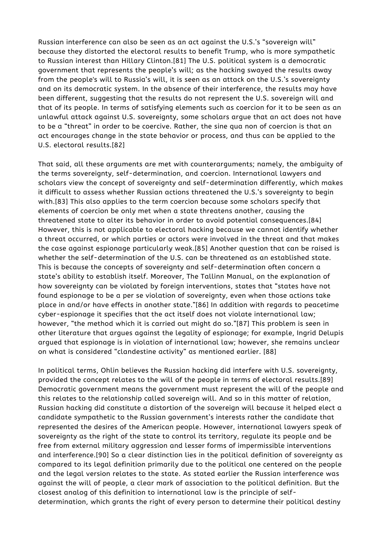Russian interference can also be seen as an act against the U.S.'s "sovereign will" because they distorted the electoral results to benefit Trump, who is more sympathetic to Russian interest than Hillary Clinton.[81] The U.S. political system is a democratic government that represents the people's will; as the hacking swayed the results away from the people's will to Russia's will, it is seen as an attack on the U.S.'s sovereignty and on its democratic system. In the absence of their interference, the results may have been different, suggesting that the results do not represent the U.S. sovereign will and that of its people. In terms of satisfying elements such as coercion for it to be seen as an unlawful attack against U.S. sovereignty, some scholars argue that an act does not have to be a "threat" in order to be coercive. Rather, the sine qua non of coercion is that an act encourages change in the state behavior or process, and thus can be applied to the U.S. electoral results.[82]

That said, all these arguments are met with counterarguments; namely, the ambiguity of the terms sovereignty, self-determination, and coercion. International lawyers and scholars view the concept of sovereignty and self-determination differently, which makes it difficult to assess whether Russian actions threatened the U.S.'s sovereignty to begin with.[83] This also applies to the term coercion because some scholars specify that elements of coercion be only met when a state threatens another, causing the threatened state to alter its behavior in order to avoid potential consequences.[84] However, this is not applicable to electoral hacking because we cannot identify whether a threat occurred, or which parties or actors were involved in the threat and that makes the case against espionage particularly weak.[85] Another question that can be raised is whether the self-determination of the U.S. can be threatened as an established state. This is because the concepts of sovereignty and self-determination often concern a state's ability to establish itself. Moreover, The Tallinn Manual, on the explanation of how sovereignty can be violated by foreign interventions, states that "states have not found espionage to be a per se violation of sovereignty, even when those actions take place in and/or have effects in another state."[86] In addition with regards to peacetime cyber-espionage it specifies that the act itself does not violate international law; however, "the method which it is carried out might do so."[87] This problem is seen in other literature that argues against the legality of espionage; for example, Ingrid Delupis argued that espionage is in violation of international law; however, she remains unclear on what is considered "clandestine activity" as mentioned earlier. [88]

In political terms, Ohlin believes the Russian hacking did interfere with U.S. sovereignty, provided the concept relates to the will of the people in terms of electoral results.[89] Democratic government means the government must represent the will of the people and this relates to the relationship called sovereign will. And so in this matter of relation, Russian hacking did constitute a distortion of the sovereign will because it helped elect a candidate sympathetic to the Russian government's interests rather the candidate that represented the desires of the American people. However, international lawyers speak of sovereignty as the right of the state to control its territory, regulate its people and be free from external military aggression and lesser forms of impermissible interventions and interference.[90] So a clear distinction lies in the political definition of sovereignty as compared to its legal definition primarily due to the political one centered on the people and the legal version relates to the state. As stated earlier the Russian interference was against the will of people, a clear mark of association to the political definition. But the closest analog of this definition to international law is the principle of selfdetermination, which grants the right of every person to determine their political destiny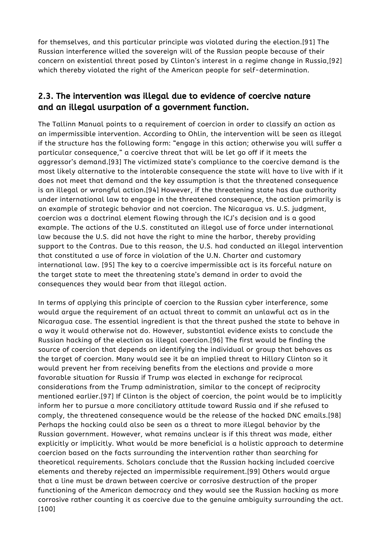for themselves, and this particular principle was violated during the election.[91] The Russian interference willed the sovereign will of the Russian people because of their concern on existential threat posed by Clinton's interest in a regime change in Russia,[92] which thereby violated the right of the American people for self-determination.

The Tallinn Manual points to a requirement of coercion in order to classify an action as an impermissible intervention. According to Ohlin, the intervention will be seen as illegal if the structure has the following form: "engage in this action; otherwise you will suffer a particular consequence, " a coercive threat that will be let go off if it meets the aggressor's demand.[93] The victimized state's compliance to the coercive demand is the most likely alternative to the intolerable consequence the state will have to live with if it does not meet that demand and the key assumption is that the threatened consequence is an illegal or wrongful action.[94] However, if the threatening state has due authority under international law to engage in the threatened consequence, the action primarily is an example of strategic behavior and not coercion. The Nicaragua vs. U.S. judgment, coercion was a doctrinal element flowing through the ICJ's decision and is a good example. The actions of the U.S. constituted an illegal use of force under international law because the U.S. did not have the right to mine the harbor, thereby providing support to the Contras. Due to this reason, the U.S. had conducted an illegal intervention that constituted a use of force in violation of the U.N. Charter and customary international law. [95] The key to a coercive impermissible act is its forceful nature on the target state to meet the threatening state's demand in order to avoid the consequences they would bear from that illegal action.

In terms of applying this principle of coercion to the Russian cyber interference, some would argue the requirement of an actual threat to commit an unlawful act as in the Nicaragua case. The essential ingredient is that the threat pushed the state to behave in a way it would otherwise not do. However, substantial evidence exists to conclude the Russian hacking of the election as illegal coercion.[96] The first would be finding the source of coercion that depends on identifying the individual or group that behaves as the target of coercion. Many would see it be an implied threat to Hillary Clinton so it would prevent her from receiving benefits from the elections and provide a more favorable situation for Russia if Trump was elected in exchange for reciprocal considerations from the Trump administration, similar to the concept of reciprocity mentioned earlier.[97] If Clinton is the object of coercion, the point would be to implicitly inform her to pursue a more conciliatory attitude toward Russia and if she refused to comply, the threatened consequence would be the release of the hacked DNC emails.[98] Perhaps the hacking could also be seen as a threat to more illegal behavior by the Russian government. However, what remains unclear is if this threat was made, either explicitly or implicitly. What would be more beneficial is a holistic approach to determine coercion based on the facts surrounding the intervention rather than searching for theoretical requirements. Scholars conclude that the Russian hacking included coercive elements and thereby rejected an impermissible requirement.[99] Others would argue that a line must be drawn between coercive or corrosive destruction of the proper functioning of the American democracy and they would see the Russian hacking as more corrosive rather counting it as coercive due to the genuine ambiguity surrounding the act. [100]

# 2.3. The intervention was illegal due to evidence of coercive nature and an illegal usurpation of a government function.